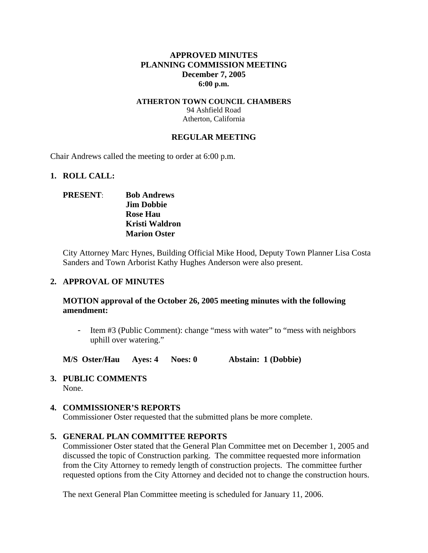### **APPROVED MINUTES PLANNING COMMISSION MEETING December 7, 2005 6:00 p.m.**

### **ATHERTON TOWN COUNCIL CHAMBERS**  94 Ashfield Road Atherton, California

### **REGULAR MEETING**

Chair Andrews called the meeting to order at 6:00 p.m.

### **1. ROLL CALL:**

## **PRESENT**: **Bob Andrews Jim Dobbie Rose Hau Kristi Waldron Marion Oster**

City Attorney Marc Hynes, Building Official Mike Hood, Deputy Town Planner Lisa Costa Sanders and Town Arborist Kathy Hughes Anderson were also present.

### **2. APPROVAL OF MINUTES**

## **MOTION approval of the October 26, 2005 meeting minutes with the following amendment:**

Item #3 (Public Comment): change "mess with water" to "mess with neighbors" uphill over watering."

**M/S Oster/Hau Ayes: 4 Noes: 0 Abstain: 1 (Dobbie)** 

**3. PUBLIC COMMENTS**  None.

### **4. COMMISSIONER'S REPORTS**

Commissioner Oster requested that the submitted plans be more complete.

### **5. GENERAL PLAN COMMITTEE REPORTS**

Commissioner Oster stated that the General Plan Committee met on December 1, 2005 and discussed the topic of Construction parking. The committee requested more information from the City Attorney to remedy length of construction projects. The committee further requested options from the City Attorney and decided not to change the construction hours.

The next General Plan Committee meeting is scheduled for January 11, 2006.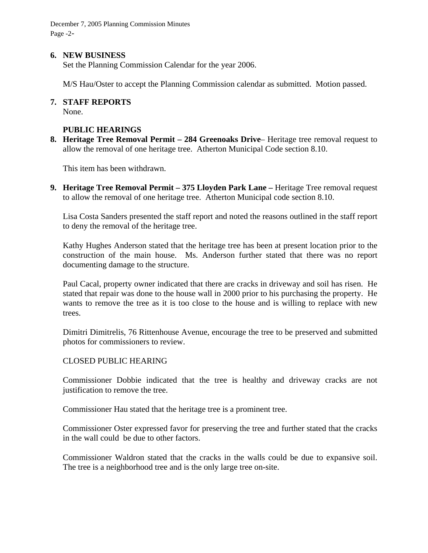December 7, 2005 Planning Commission Minutes Page -2-

### **6. NEW BUSINESS**

Set the Planning Commission Calendar for the year 2006.

M/S Hau/Oster to accept the Planning Commission calendar as submitted. Motion passed.

#### **7. STAFF REPORTS**

None.

### **PUBLIC HEARINGS**

**8. Heritage Tree Removal Permit – 284 Greenoaks Drive**– Heritage tree removal request to allow the removal of one heritage tree. Atherton Municipal Code section 8.10.

This item has been withdrawn.

**9. Heritage Tree Removal Permit – 375 Lloyden Park Lane – Heritage Tree removal request** to allow the removal of one heritage tree. Atherton Municipal code section 8.10.

Lisa Costa Sanders presented the staff report and noted the reasons outlined in the staff report to deny the removal of the heritage tree.

Kathy Hughes Anderson stated that the heritage tree has been at present location prior to the construction of the main house. Ms. Anderson further stated that there was no report documenting damage to the structure.

Paul Cacal, property owner indicated that there are cracks in driveway and soil has risen. He stated that repair was done to the house wall in 2000 prior to his purchasing the property. He wants to remove the tree as it is too close to the house and is willing to replace with new trees.

Dimitri Dimitrelis, 76 Rittenhouse Avenue, encourage the tree to be preserved and submitted photos for commissioners to review.

### CLOSED PUBLIC HEARING

Commissioner Dobbie indicated that the tree is healthy and driveway cracks are not justification to remove the tree.

Commissioner Hau stated that the heritage tree is a prominent tree.

Commissioner Oster expressed favor for preserving the tree and further stated that the cracks in the wall could be due to other factors.

Commissioner Waldron stated that the cracks in the walls could be due to expansive soil. The tree is a neighborhood tree and is the only large tree on-site.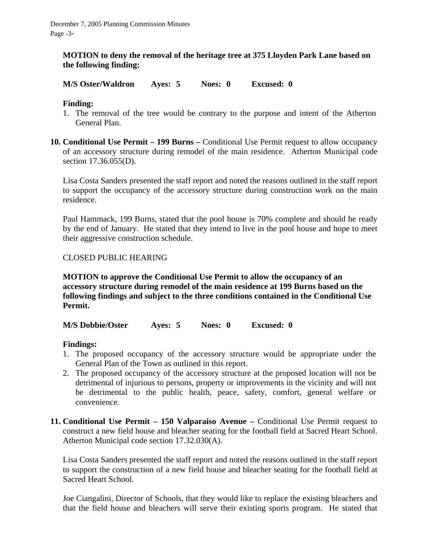## **MOTION to deny the removal of the heritage tree at 375 Lloyden Park Lane based on the following finding:**

**M/S Oster/Waldron Ayes: 5 Noes: 0 Excused: 0** 

# **Finding:**

- 1. The removal of the tree would be contrary to the purpose and intent of the Atherton General Plan.
- **10. Conditional Use Permit 199 Burns Conditional Use Permit request to allow occupancy** of an accessory structure during remodel of the main residence. Atherton Municipal code section 17.36.055(D).

Lisa Costa Sanders presented the staff report and noted the reasons outlined in the staff report to support the occupancy of the accessory structure during construction work on the main residence.

Paul Hammack, 199 Burns, stated that the pool house is 70% complete and should be ready by the end of January. He stated that they intend to live in the pool house and hope to meet their aggressive construction schedule.

## CLOSED PUBLIC HEARING

**MOTION to approve the Conditional Use Permit to allow the occupancy of an accessory structure during remodel of the main residence at 199 Burns based on the following findings and subject to the three conditions contained in the Conditional Use Permit.** 

**M/S Dobbie/Oster Ayes: 5 Noes: 0 Excused: 0** 

## **Findings:**

- 1. The proposed occupancy of the accessory structure would be appropriate under the General Plan of the Town as outlined in this report.
- 2. The proposed occupancy of the accessory structure at the proposed location will not be detrimental of injurious to persons, property or improvements in the vicinity and will not be detrimental to the public health, peace, safety, comfort, general welfare or convenience.
- **11. Conditional Use Permit 150 Valparaiso Avenue Conditional Use Permit request to** construct a new field house and bleacher seating for the football field at Sacred Heart School. Atherton Municipal code section 17.32.030(A).

Lisa Costa Sanders presented the staff report and noted the reasons outlined in the staff report to support the construction of a new field house and bleacher seating for the football field at Sacred Heart School.

Joe Ciangalini, Director of Schools, that they would like to replace the existing bleachers and that the field house and bleachers will serve their existing sports program. He stated that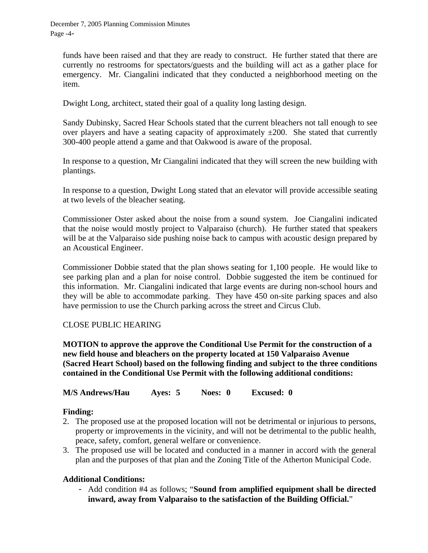December 7, 2005 Planning Commission Minutes Page -4-

funds have been raised and that they are ready to construct. He further stated that there are currently no restrooms for spectators/guests and the building will act as a gather place for emergency. Mr. Ciangalini indicated that they conducted a neighborhood meeting on the item.

Dwight Long, architect, stated their goal of a quality long lasting design.

Sandy Dubinsky, Sacred Hear Schools stated that the current bleachers not tall enough to see over players and have a seating capacity of approximately  $\pm 200$ . She stated that currently 300-400 people attend a game and that Oakwood is aware of the proposal.

In response to a question, Mr Ciangalini indicated that they will screen the new building with plantings.

In response to a question, Dwight Long stated that an elevator will provide accessible seating at two levels of the bleacher seating.

Commissioner Oster asked about the noise from a sound system. Joe Ciangalini indicated that the noise would mostly project to Valparaiso (church). He further stated that speakers will be at the Valparaiso side pushing noise back to campus with acoustic design prepared by an Acoustical Engineer.

Commissioner Dobbie stated that the plan shows seating for 1,100 people. He would like to see parking plan and a plan for noise control. Dobbie suggested the item be continued for this information. Mr. Ciangalini indicated that large events are during non-school hours and they will be able to accommodate parking. They have 450 on-site parking spaces and also have permission to use the Church parking across the street and Circus Club.

## CLOSE PUBLIC HEARING

**MOTION to approve the approve the Conditional Use Permit for the construction of a new field house and bleachers on the property located at 150 Valparaiso Avenue (Sacred Heart School) based on the following finding and subject to the three conditions contained in the Conditional Use Permit with the following additional conditions:** 

**M/S Andrews/Hau Ayes: 5 Noes: 0 Excused: 0** 

## **Finding:**

- 2. The proposed use at the proposed location will not be detrimental or injurious to persons, property or improvements in the vicinity, and will not be detrimental to the public health, peace, safety, comfort, general welfare or convenience.
- 3. The proposed use will be located and conducted in a manner in accord with the general plan and the purposes of that plan and the Zoning Title of the Atherton Municipal Code.

## **Additional Conditions:**

- Add condition #4 as follows; "**Sound from amplified equipment shall be directed inward, away from Valparaiso to the satisfaction of the Building Official.**"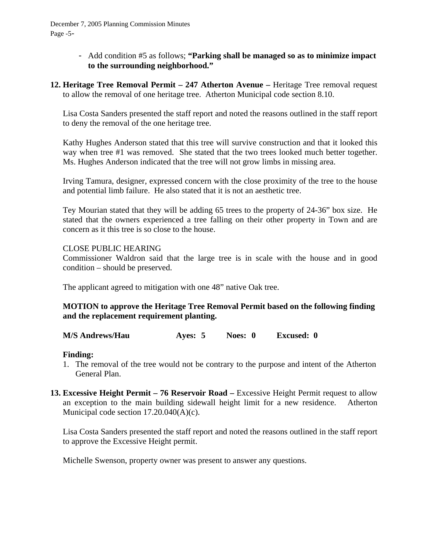December 7, 2005 Planning Commission Minutes Page -5-

- Add condition #5 as follows; **"Parking shall be managed so as to minimize impact to the surrounding neighborhood."**
- **12. Heritage Tree Removal Permit 247 Atherton Avenue** Heritage Tree removal request to allow the removal of one heritage tree. Atherton Municipal code section 8.10.

Lisa Costa Sanders presented the staff report and noted the reasons outlined in the staff report to deny the removal of the one heritage tree.

Kathy Hughes Anderson stated that this tree will survive construction and that it looked this way when tree #1 was removed. She stated that the two trees looked much better together. Ms. Hughes Anderson indicated that the tree will not grow limbs in missing area.

Irving Tamura, designer, expressed concern with the close proximity of the tree to the house and potential limb failure. He also stated that it is not an aesthetic tree.

Tey Mourian stated that they will be adding 65 trees to the property of 24-36" box size. He stated that the owners experienced a tree falling on their other property in Town and are concern as it this tree is so close to the house.

### CLOSE PUBLIC HEARING

Commissioner Waldron said that the large tree is in scale with the house and in good condition – should be preserved.

The applicant agreed to mitigation with one 48" native Oak tree.

# **MOTION to approve the Heritage Tree Removal Permit based on the following finding and the replacement requirement planting.**

**M/S Andrews/Hau Ayes: 5 Noes: 0 Excused: 0** 

### **Finding:**

- 1. The removal of the tree would not be contrary to the purpose and intent of the Atherton General Plan.
- **13. Excessive Height Permit 76 Reservoir Road –** Excessive Height Permit request to allow an exception to the main building sidewall height limit for a new residence. Atherton Municipal code section 17.20.040(A)(c).

Lisa Costa Sanders presented the staff report and noted the reasons outlined in the staff report to approve the Excessive Height permit.

Michelle Swenson, property owner was present to answer any questions.